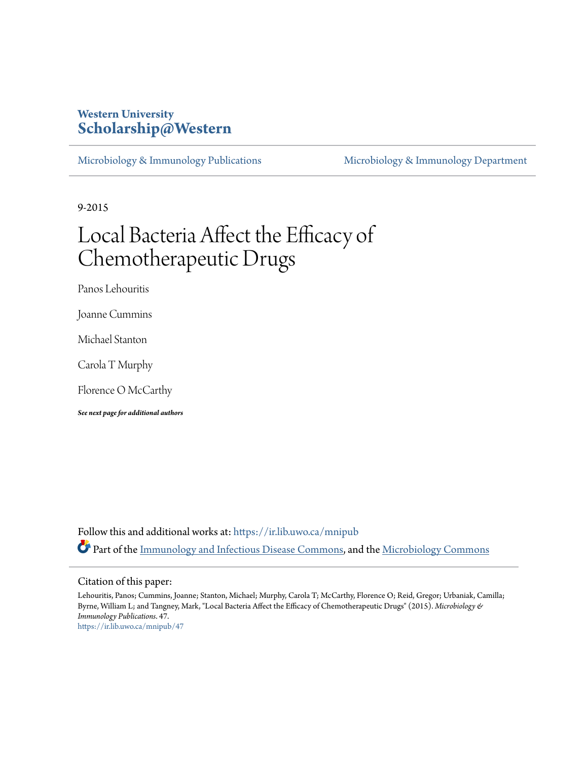### **Western University [Scholarship@Western](https://ir.lib.uwo.ca?utm_source=ir.lib.uwo.ca%2Fmnipub%2F47&utm_medium=PDF&utm_campaign=PDFCoverPages)**

[Microbiology & Immunology Publications](https://ir.lib.uwo.ca/mnipub?utm_source=ir.lib.uwo.ca%2Fmnipub%2F47&utm_medium=PDF&utm_campaign=PDFCoverPages) [Microbiology & Immunology Department](https://ir.lib.uwo.ca/mni?utm_source=ir.lib.uwo.ca%2Fmnipub%2F47&utm_medium=PDF&utm_campaign=PDFCoverPages)

9-2015

## Local Bacteria Affect the Efficacy of Chemotherapeutic Drugs

Panos Lehouritis

Joanne Cummins

Michael Stanton

Carola T Murphy

Florence O McCarthy

*See next page for additional authors*

Follow this and additional works at: [https://ir.lib.uwo.ca/mnipub](https://ir.lib.uwo.ca/mnipub?utm_source=ir.lib.uwo.ca%2Fmnipub%2F47&utm_medium=PDF&utm_campaign=PDFCoverPages) Part of the [Immunology and Infectious Disease Commons,](http://network.bepress.com/hgg/discipline/33?utm_source=ir.lib.uwo.ca%2Fmnipub%2F47&utm_medium=PDF&utm_campaign=PDFCoverPages) and the [Microbiology Commons](http://network.bepress.com/hgg/discipline/48?utm_source=ir.lib.uwo.ca%2Fmnipub%2F47&utm_medium=PDF&utm_campaign=PDFCoverPages)

#### Citation of this paper:

Lehouritis, Panos; Cummins, Joanne; Stanton, Michael; Murphy, Carola T; McCarthy, Florence O; Reid, Gregor; Urbaniak, Camilla; Byrne, William L; and Tangney, Mark, "Local Bacteria Affect the Efficacy of Chemotherapeutic Drugs" (2015). *Microbiology & Immunology Publications*. 47. [https://ir.lib.uwo.ca/mnipub/47](https://ir.lib.uwo.ca/mnipub/47?utm_source=ir.lib.uwo.ca%2Fmnipub%2F47&utm_medium=PDF&utm_campaign=PDFCoverPages)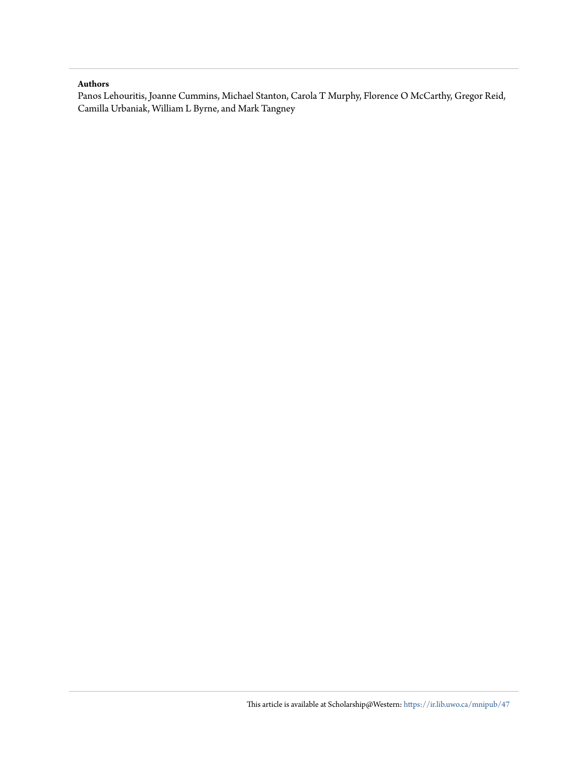#### **Authors**

Panos Lehouritis, Joanne Cummins, Michael Stanton, Carola T Murphy, Florence O McCarthy, Gregor Reid, Camilla Urbaniak, William L Byrne, and Mark Tangney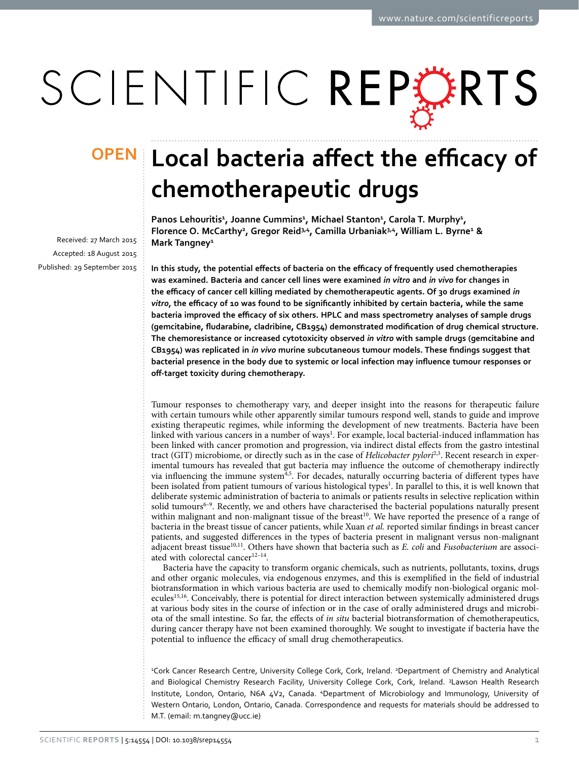# SCIENTIFIC REPERTS

Received: 27 March 2015 accepted: 18 August 2015 Published: 29 September 2015

## **Local bacteria affect the efficacy of OPENchemotherapeutic drugs**

Panos Lehouritis<sup>1</sup>, Joanne Cummins<sup>1</sup>, Michael Stanton<sup>1</sup>, Carola T. Murphy<sup>1</sup>, **Florence O. McCarthy<sup>2</sup> , Gregor Reid3,4, Camilla Urbaniak3,4, William L. Byrne<sup>1</sup> & Mark Tangney<sup>1</sup>**

**In this study, the potential effects of bacteria on the efficacy of frequently used chemotherapies was examined. Bacteria and cancer cell lines were examined** *in vitro* **and** *in vivo* **for changes in the efficacy of cancer cell killing mediated by chemotherapeutic agents. Of 30 drugs examined** *in vitro***, the efficacy of 10 was found to be significantly inhibited by certain bacteria, while the same bacteria improved the efficacy of six others. HPLC and mass spectrometry analyses of sample drugs (gemcitabine, fludarabine, cladribine, CB1954) demonstrated modification of drug chemical structure. The chemoresistance or increased cytotoxicity observed** *in vitro* **with sample drugs (gemcitabine and CB1954) was replicated in** *in vivo* **murine subcutaneous tumour models. These findings suggest that bacterial presence in the body due to systemic or local infection may influence tumour responses or off-target toxicity during chemotherapy.**

Tumour responses to chemotherapy vary, and deeper insight into the reasons for therapeutic failure with certain tumours while other apparently similar tumours respond well, stands to guide and improve existing therapeutic regimes, while informing the development of new treatments. Bacteria have been linked with various cancers in a number of ways<sup>1</sup>. For example, local bacterial-induced inflammation has been linked with cancer promotion and progression, via indirect distal effects from the gastro intestinal tract (GIT) microbiome, or directly such as in the case of *Helicobacter pylori*<sup>[2](#page-12-1)[,3](#page-12-2)</sup>. Recent research in experimental tumours has revealed that gut bacteria may influence the outcome of chemotherapy indirectly via influencing the immune system<sup>[4,](#page-12-3)[5](#page-12-4)</sup>. For decades, naturally occurring bacteria of different types have been isolated from patient tumours of various histological types<sup>1</sup>. In parallel to this, it is well known that deliberate systemic administration of bacteria to animals or patients results in selective replication within solid tumours<sup>6–9</sup>. Recently, we and others have characterised the bacterial populations naturally present within malignant and non-malignant tissue of the breast<sup>10</sup>. We have reported the presence of a range of bacteria in the breast tissue of cancer patients, while Xuan *et al.* reported similar findings in breast cancer patients, and suggested differences in the types of bacteria present in malignant versus non-malignant adjacent breast tissue[10](#page-12-6)[,11](#page-12-7). Others have shown that bacteria such as *E. coli* and *Fusobacterium* are associated with colorectal cancer<sup>12-14</sup>.

Bacteria have the capacity to transform organic chemicals, such as nutrients, pollutants, toxins, drugs and other organic molecules, via endogenous enzymes, and this is exemplified in the field of industrial biotransformation in which various bacteria are used to chemically modify non-biological organic mol-ecules<sup>[15,](#page-12-9)[16](#page-12-10)</sup>. Conceivably, there is potential for direct interaction between systemically administered drugs at various body sites in the course of infection or in the case of orally administered drugs and microbiota of the small intestine. So far, the effects of *in situ* bacterial biotransformation of chemotherapeutics, during cancer therapy have not been examined thoroughly. We sought to investigate if bacteria have the potential to influence the efficacy of small drug chemotherapeutics.

<sup>2</sup>Cork Cancer Research Centre, University College Cork, Cork, Ireland. <sup>2</sup>Department of Chemistry and Analytical and Biological Chemistry Research Facility, University College Cork, Cork, Ireland. <sup>3</sup>Lawson Health Research Institute, London, Ontario, N6A 4V2, Canada. 4 Department of Microbiology and Immunology, University of Western Ontario, London, Ontario, Canada. Correspondence and requests for materials should be addressed to M.T. (email: [m.tangney@ucc.ie\)](mailto:m.tangney@ucc.ie)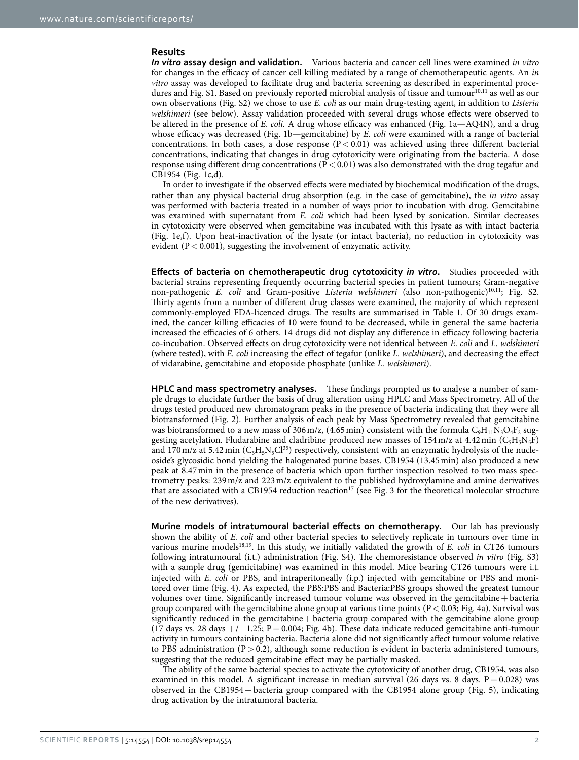#### **Results**

*In vitro* **assay design and validation.** Various bacteria and cancer cell lines were examined *in vitro* for changes in the efficacy of cancer cell killing mediated by a range of chemotherapeutic agents. An *in vitro* assay was developed to facilitate drug and bacteria screening as described in experimental procedures and Fig. S1. Based on previously reported microbial analysis of tissue and tumour<sup>10,11</sup> as well as our own observations (Fig. S2) we chose to use *E. coli* as our main drug-testing agent, in addition to *Listeria welshimeri* (see below). Assay validation proceeded with several drugs whose effects were observed to be altered in the presence of *E*. *coli.* A drug whose efficacy was enhanced ([Fig. 1a](#page-4-0)—AQ4N), and a drug whose efficacy was decreased [\(Fig. 1b—](#page-4-0)gemcitabine) by *E*. *coli* were examined with a range of bacterial concentrations. In both cases, a dose response ( $P < 0.01$ ) was achieved using three different bacterial concentrations, indicating that changes in drug cytotoxicity were originating from the bacteria. A dose response using different drug concentrations ( $P < 0.01$ ) was also demonstrated with the drug tegafur and CB1954 ([Fig. 1c,d\)](#page-4-0).

In order to investigate if the observed effects were mediated by biochemical modification of the drugs, rather than any physical bacterial drug absorption (e.g. in the case of gemcitabine), the *in vitro* assay was performed with bacteria treated in a number of ways prior to incubation with drug. Gemcitabine was examined with supernatant from *E. coli* which had been lysed by sonication. Similar decreases in cytotoxicity were observed when gemcitabine was incubated with this lysate as with intact bacteria ([Fig. 1e,f](#page-4-0)). Upon heat-inactivation of the lysate (or intact bacteria), no reduction in cytotoxicity was evident ( $P < 0.001$ ), suggesting the involvement of enzymatic activity.

**Effects of bacteria on chemotherapeutic drug cytotoxicity** *in vitro***.** Studies proceeded with bacterial strains representing frequently occurring bacterial species in patient tumours; Gram-negative non-pathogenic *E. coli* and Gram-positive *Listeria welshimeri* (also non-pathogenic[\)10](#page-12-6),[11](#page-12-7); Fig. S2. Thirty agents from a number of different drug classes were examined, the majority of which represent commonly-employed FDA-licenced drugs. The results are summarised in [Table 1](#page-5-0). Of 30 drugs examined, the cancer killing efficacies of 10 were found to be decreased, while in general the same bacteria increased the efficacies of 6 others. 14 drugs did not display any difference in efficacy following bacteria co-incubation. Observed effects on drug cytotoxicity were not identical between *E. coli* and *L. welshimeri* (where tested), with *E. coli* increasing the effect of tegafur (unlike *L. welshimeri*), and decreasing the effect of vidarabine, gemcitabine and etoposide phosphate (unlike *L. welshimeri*).

**HPLC and mass spectrometry analyses.** These findings prompted us to analyse a number of sample drugs to elucidate further the basis of drug alteration using HPLC and Mass Spectrometry. All of the drugs tested produced new chromatogram peaks in the presence of bacteria indicating that they were all biotransformed ([Fig. 2\)](#page-6-0). Further analysis of each peak by Mass Spectrometry revealed that gemcitabine was biotransformed to a new mass of 306 m/z, (4.65 min) consistent with the formula  $C_9H_{11}N_3O_4F_2$  suggesting acetylation. Fludarabine and cladribine produced new masses of  $154 \text{ m/z}$  at  $4.42 \text{ min (C<sub>5</sub>H<sub>5</sub>N<sub>5</sub>F)}$ and 170 m/z at 5.42 min ( $C_5H_5N_5Cl^{35}$ ) respectively, consistent with an enzymatic hydrolysis of the nucleoside's glycosidic bond yielding the halogenated purine bases. CB1954 (13.45min) also produced a new peak at 8.47min in the presence of bacteria which upon further inspection resolved to two mass spectrometry peaks: 239m/z and 223m/z equivalent to the published hydroxylamine and amine derivatives that are associated with a CB1954 reduction reaction<sup>17</sup> (see [Fig. 3](#page-7-0) for the theoretical molecular structure of the new derivatives).

**Murine models of intratumoural bacterial effects on chemotherapy.** Our lab has previously shown the ability of *E. coli* and other bacterial species to selectively replicate in tumours over time in various murine models<sup>[18,](#page-12-12)19</sup>. In this study, we initially validated the growth of *E. coli* in CT26 tumours following intratumoural (i.t.) administration (Fig. S4). The chemoresistance observed *in vitro* (Fig. S3) with a sample drug (gemicitabine) was examined in this model. Mice bearing CT26 tumours were i.t. injected with *E. coli* or PBS, and intraperitoneally (i.p.) injected with gemcitabine or PBS and monitored over time ([Fig. 4](#page-8-0)). As expected, the PBS:PBS and Bacteria:PBS groups showed the greatest tumour volumes over time. Significantly increased tumour volume was observed in the gemcitabine+ bacteria group compared with the gemcitabine alone group at various time points  $(P < 0.03$ ; [Fig. 4a](#page-8-0)). Survival was significantly reduced in the gemcitabine+ bacteria group compared with the gemcitabine alone group (17 days vs. 28 days +/−1.25; P= 0.004; [Fig. 4b](#page-8-0)). These data indicate reduced gemcitabine anti-tumour activity in tumours containing bacteria. Bacteria alone did not significantly affect tumour volume relative to PBS administration ( $P > 0.2$ ), although some reduction is evident in bacteria administered tumours, suggesting that the reduced gemcitabine effect may be partially masked.

The ability of the same bacterial species to activate the cytotoxicity of another drug, CB1954, was also examined in this model. A significant increase in median survival (26 days vs. 8 days.  $P = 0.028$ ) was observed in the CB1954+ bacteria group compared with the CB1954 alone group [\(Fig. 5](#page-9-0)), indicating drug activation by the intratumoral bacteria.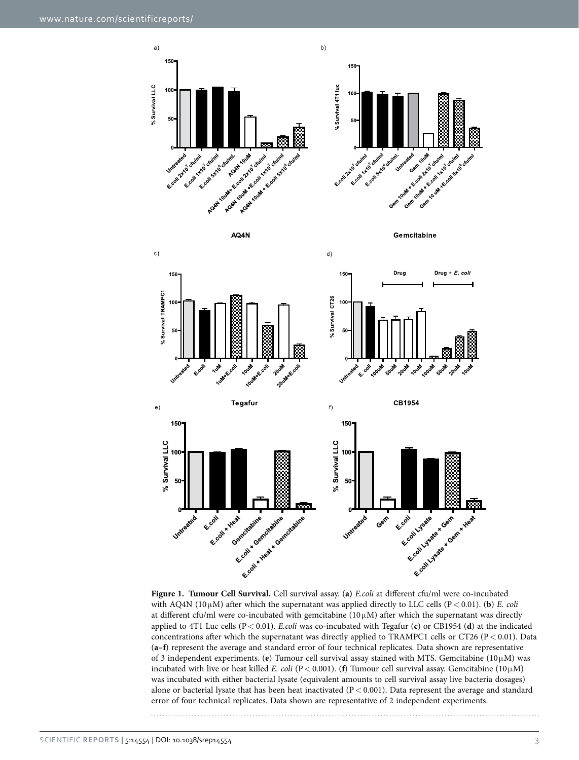

<span id="page-4-0"></span>**Figure 1. Tumour Cell Survival.** Cell survival assay. (**a)** *E.coli* at different cfu/ml were co-incubated with AQ4N (10 $\mu$ M) after which the supernatant was applied directly to LLC cells (P < 0.01). (**b**) *E. coli* at different cfu/ml were co-incubated with gemcitabine ( $10\mu$ M) after which the supernatant was directly applied to 4T1 Luc cells (P< 0.01). *E.coli* was co-incubated with Tegafur (**c**) or CB1954 (**d**) at the indicated concentrations after which the supernatant was directly applied to TRAMPC1 cells or CT26 (P< 0.01). Data (**a–f**) represent the average and standard error of four technical replicates. Data shown are representative of 3 independent experiments. (**e**) Tumour cell survival assay stained with MTS. Gemcitabine (10μM) was incubated with live or heat killed *E. coli* (P< 0.001). (**f**) Tumour cell survival assay. Gemcitabine (10μM) was incubated with either bacterial lysate (equivalent amounts to cell survival assay live bacteria dosages) alone or bacterial lysate that has been heat inactivated  $(P < 0.001)$ . Data represent the average and standard error of four technical replicates. Data shown are representative of 2 independent experiments.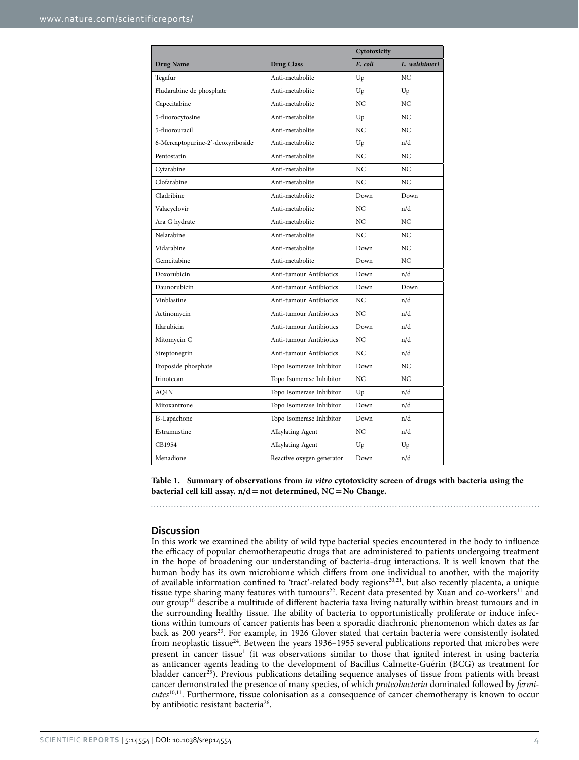<span id="page-5-0"></span>

|                                   |                           | Cytotoxicity |                |
|-----------------------------------|---------------------------|--------------|----------------|
| <b>Drug Name</b>                  | <b>Drug Class</b>         | E. coli      | L. welshimeri  |
| Tegafur                           | Anti-metabolite           | Up           | N <sub>C</sub> |
| Fludarabine de phosphate          | Anti-metabolite           | Up           | Up             |
| Capecitabine                      | Anti-metabolite           | NC           | NC             |
| 5-fluorocytosine                  | Anti-metabolite           | Up           | N <sub>C</sub> |
| 5-fluorouracil                    | Anti-metabolite           | NC           | NC             |
| 6-Mercaptopurine-2'-deoxyriboside | Anti-metabolite           | Up           | n/d            |
| Pentostatin                       | Anti-metabolite           | NC           | NC             |
| Cytarabine                        | Anti-metabolite           | NC           | NC             |
| Clofarabine                       | Anti-metabolite           | NC           | NC             |
| Cladribine                        | Anti-metabolite           | Down         | Down           |
| Valacyclovir                      | Anti-metabolite           | NC           | n/d            |
| Ara G hydrate                     | Anti-metabolite           | NC           | NC             |
| Nelarabine                        | Anti-metabolite           | NC           | NC             |
| Vidarabine                        | Anti-metabolite           | Down         | NC             |
| Gemcitabine                       | Anti-metabolite           | Down         | NC             |
| Doxorubicin                       | Anti-tumour Antibiotics   | Down         | n/d            |
| Daunorubicin                      | Anti-tumour Antibiotics   | Down         | Down           |
| Vinblastine                       | Anti-tumour Antibiotics   | NC           | n/d            |
| Actinomycin                       | Anti-tumour Antibiotics   | NC           | n/d            |
| Idarubicin                        | Anti-tumour Antibiotics   | Down         | n/d            |
| Mitomycin C                       | Anti-tumour Antibiotics   | NC           | n/d            |
| Streptonegrin                     | Anti-tumour Antibiotics   | NC           | n/d            |
| Etoposide phosphate               | Topo Isomerase Inhibitor  | Down         | NC             |
| Irinotecan                        | Topo Isomerase Inhibitor  | NC           | NC             |
| AQ4N                              | Topo Isomerase Inhibitor  | Up           | n/d            |
| Mitoxantrone                      | Topo Isomerase Inhibitor  | Down         | n/d            |
| B-Lapachone                       | Topo Isomerase Inhibitor  | Down         | n/d            |
| Estramustine                      | Alkylating Agent          | NC           | n/d            |
| CB1954                            | Alkylating Agent          | Up           | Up             |
| Menadione                         | Reactive oxygen generator | Down         | n/d            |

**Table 1. Summary of observations from** *in vitro* **cytotoxicity screen of drugs with bacteria using the bacterial cell kill assay. n/d=not determined, NC=No Change.**

#### **Discussion**

In this work we examined the ability of wild type bacterial species encountered in the body to influence the efficacy of popular chemotherapeutic drugs that are administered to patients undergoing treatment in the hope of broadening our understanding of bacteria-drug interactions. It is well known that the human body has its own microbiome which differs from one individual to another, with the majority of available information confined to 'tract'-related body regions[20](#page-12-14)[,21](#page-12-15), but also recently placenta, a unique tissue type sharing many features with tumours<sup>22</sup>. Recent data presented by Xuan and co-workers<sup>11</sup> and our grou[p10](#page-12-6) describe a multitude of different bacteria taxa living naturally within breast tumours and in the surrounding healthy tissue. The ability of bacteria to opportunistically proliferate or induce infections within tumours of cancer patients has been a sporadic diachronic phenomenon which dates as far back as 200 years<sup>23</sup>. For example, in 1926 Glover stated that certain bacteria were consistently isolated from neoplastic tissue<sup>24</sup>. Between the years 1936–1955 several publications reported that microbes were present in cancer tissue<sup>[1](#page-12-0)</sup> (it was observations similar to those that ignited interest in using bacteria as anticancer agents leading to the development of Bacillus Calmette-Guérin (BCG) as treatment for bladder cancer<sup>25</sup>). Previous publications detailing sequence analyses of tissue from patients with breast cancer demonstrated the presence of many species, of which *proteobacteria* dominated followed by *fermicutes*[10](#page-12-6)[,11](#page-12-7). Furthermore, tissue colonisation as a consequence of cancer chemotherapy is known to occur by antibiotic resistant bacteria<sup>26</sup>.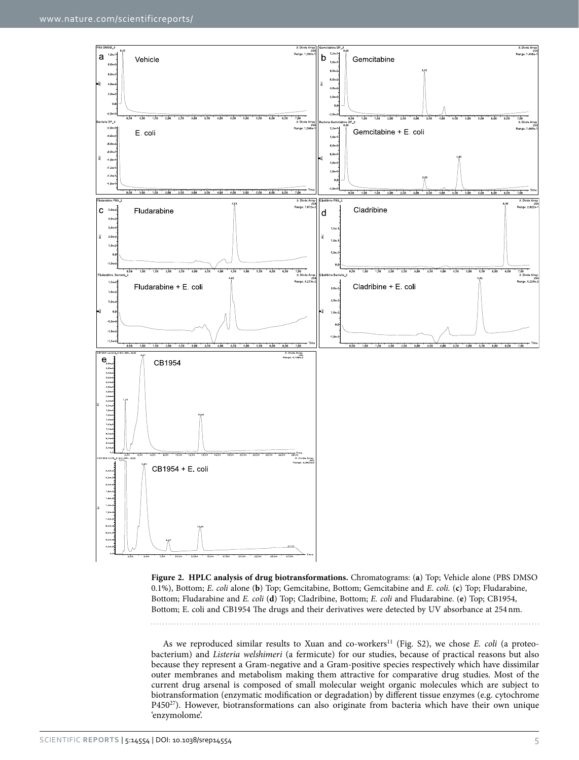

<span id="page-6-0"></span>**Figure 2. HPLC analysis of drug biotransformations.** Chromatograms: (**a**) Top; Vehicle alone (PBS DMSO 0.1%), Bottom; *E*. *coli* alone (**b**) Top; Gemcitabine, Bottom; Gemcitabine and *E*. *coli.* (**c**) Top; Fludarabine, Bottom; Fludarabine and *E. coli* (**d**) Top; Cladribine, Bottom; *E. coli* and Fludarabine. (**e**) Top; CB1954, Bottom; E. coli and CB1954 The drugs and their derivatives were detected by UV absorbance at 254nm.

As we reproduced similar results to Xuan and co-workers<sup>11</sup> (Fig. S2), we chose *E. coli* (a proteobacterium) and *Listeria welshimeri* (a fermicute) for our studies, because of practical reasons but also because they represent a Gram-negative and a Gram-positive species respectively which have dissimilar outer membranes and metabolism making them attractive for comparative drug studies. Most of the current drug arsenal is composed of small molecular weight organic molecules which are subject to biotransformation (enzymatic modification or degradation) by different tissue enzymes (e.g. cytochrome P450[27\)](#page-12-21). However, biotransformations can also originate from bacteria which have their own unique 'enzymolome'.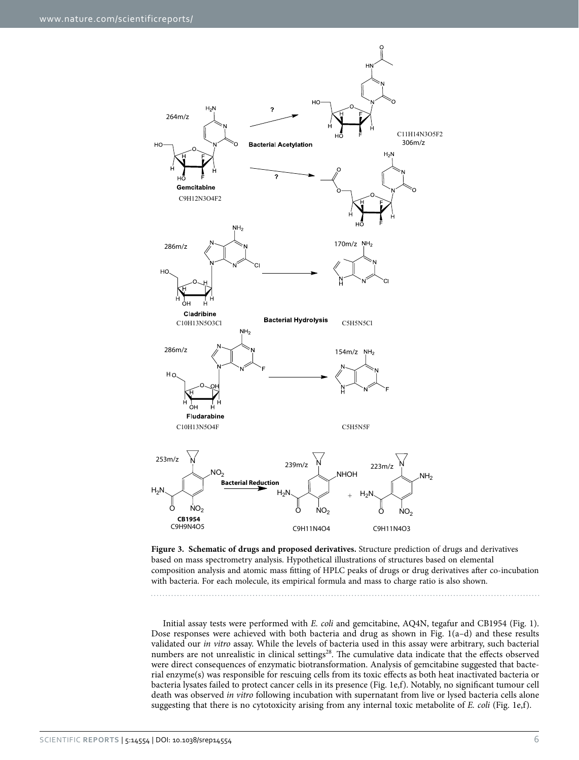

<span id="page-7-0"></span>**Figure 3. Schematic of drugs and proposed derivatives.** Structure prediction of drugs and derivatives based on mass spectrometry analysis. Hypothetical illustrations of structures based on elemental composition analysis and atomic mass fitting of HPLC peaks of drugs or drug derivatives after co-incubation with bacteria. For each molecule, its empirical formula and mass to charge ratio is also shown.

Initial assay tests were performed with *E. coli* and gemcitabine, AQ4N, tegafur and CB1954 [\(Fig. 1](#page-4-0)). Dose responses were achieved with both bacteria and drug as shown in [Fig. 1\(a–d\)](#page-4-0) and these results validated our *in vitro* assay. While the levels of bacteria used in this assay were arbitrary, such bacterial numbers are not unrealistic in clinical settings<sup>28</sup>. The cumulative data indicate that the effects observed were direct consequences of enzymatic biotransformation. Analysis of gemcitabine suggested that bacterial enzyme(s) was responsible for rescuing cells from its toxic effects as both heat inactivated bacteria or bacteria lysates failed to protect cancer cells in its presence ([Fig. 1e,f\)](#page-4-0). Notably, no significant tumour cell death was observed *in vitro* following incubation with supernatant from live or lysed bacteria cells alone suggesting that there is no cytotoxicity arising from any internal toxic metabolite of *E. coli* [\(Fig. 1e,f](#page-4-0)).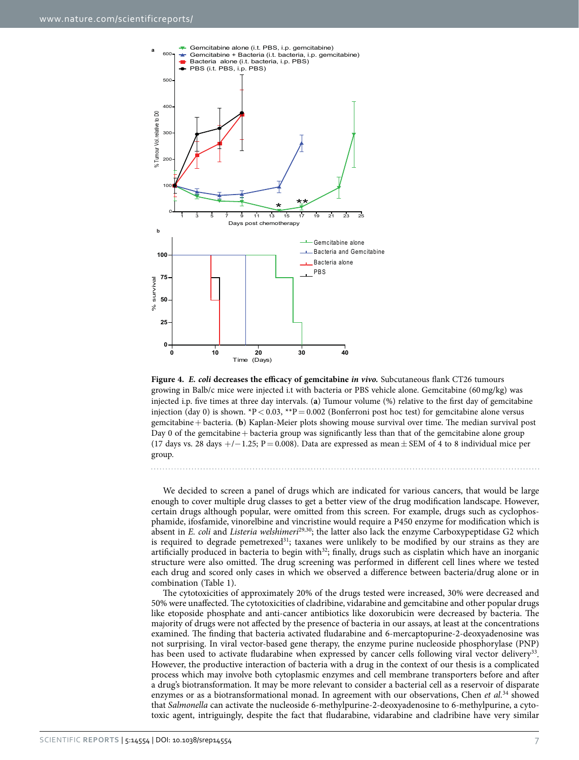

<span id="page-8-0"></span>

We decided to screen a panel of drugs which are indicated for various cancers, that would be large enough to cover multiple drug classes to get a better view of the drug modification landscape. However, certain drugs although popular, were omitted from this screen. For example, drugs such as cyclophosphamide, ifosfamide, vinorelbine and vincristine would require a P450 enzyme for modification which is absent in *E. coli* and *Listeria welshimeri*[29](#page-12-23),[30;](#page-12-24) the latter also lack the enzyme Carboxypeptidase G2 which is required to degrade pemetrexed $31$ ; taxanes were unlikely to be modified by our strains as they are artificially produced in bacteria to begin with<sup>32</sup>; finally, drugs such as cisplatin which have an inorganic structure were also omitted. The drug screening was performed in different cell lines where we tested each drug and scored only cases in which we observed a difference between bacteria/drug alone or in combination ([Table 1\)](#page-5-0).

The cytotoxicities of approximately 20% of the drugs tested were increased, 30% were decreased and 50% were unaffected. The cytotoxicities of cladribine, vidarabine and gemcitabine and other popular drugs like etoposide phosphate and anti-cancer antibiotics like doxorubicin were decreased by bacteria. The majority of drugs were not affected by the presence of bacteria in our assays, at least at the concentrations examined. The finding that bacteria activated fludarabine and 6-mercaptopurine-2-deoxyadenosine was not surprising. In viral vector-based gene therapy, the enzyme purine nucleoside phosphorylase (PNP) has been used to activate fludarabine when expressed by cancer cells following viral vector delivery<sup>[33](#page-12-27)</sup>. However, the productive interaction of bacteria with a drug in the context of our thesis is a complicated process which may involve both cytoplasmic enzymes and cell membrane transporters before and after a drug's biotransformation. It may be more relevant to consider a bacterial cell as a reservoir of disparate enzymes or as a biotransformational monad. In agreement with our observations, Chen *et al.*<sup>34</sup> showed that *Salmonella* can activate the nucleoside 6-methylpurine-2-deoxyadenosine to 6-methylpurine, a cytotoxic agent, intriguingly, despite the fact that fludarabine, vidarabine and cladribine have very similar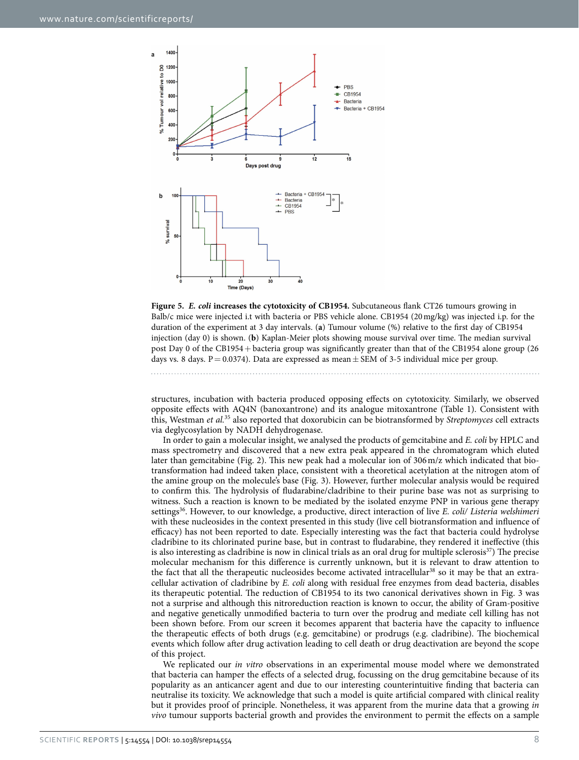

<span id="page-9-0"></span>**Figure 5.** *E. coli* **increases the cytotoxicity of CB1954.** Subcutaneous flank CT26 tumours growing in Balb/c mice were injected i.t with bacteria or PBS vehicle alone. CB1954 (20mg/kg) was injected i.p. for the duration of the experiment at 3 day intervals. (**a**) Tumour volume (%) relative to the first day of CB1954 injection (day 0) is shown. (**b**) Kaplan-Meier plots showing mouse survival over time. The median survival post Day 0 of the CB1954 + bacteria group was significantly greater than that of the CB1954 alone group (26 days vs. 8 days. P = 0.0374). Data are expressed as mean  $\pm$  SEM of 3-5 individual mice per group.

structures, incubation with bacteria produced opposing effects on cytotoxicity. Similarly, we observed opposite effects with AQ4N (banoxantrone) and its analogue mitoxantrone [\(Table 1\)](#page-5-0). Consistent with this, Westman *et al.*[35](#page-12-29) also reported that doxorubicin can be biotransformed by *Streptomyces* cell extracts via deglycosylation by NADH dehydrogenase.

In order to gain a molecular insight, we analysed the products of gemcitabine and *E. coli* by HPLC and mass spectrometry and discovered that a new extra peak appeared in the chromatogram which eluted later than gemcitabine [\(Fig. 2\)](#page-6-0). This new peak had a molecular ion of 306m/z which indicated that biotransformation had indeed taken place, consistent with a theoretical acetylation at the nitrogen atom of the amine group on the molecule's base [\(Fig. 3\)](#page-7-0). However, further molecular analysis would be required to confirm this. The hydrolysis of fludarabine/cladribine to their purine base was not as surprising to witness. Such a reaction is known to be mediated by the isolated enzyme PNP in various gene therapy settings[36.](#page-12-30) However, to our knowledge, a productive, direct interaction of live *E. coli/ Listeria welshimeri* with these nucleosides in the context presented in this study (live cell biotransformation and influence of efficacy) has not been reported to date. Especially interesting was the fact that bacteria could hydrolyse cladribine to its chlorinated purine base, but in contrast to fludarabine, they rendered it ineffective (this is also interesting as cladribine is now in clinical trials as an oral drug for multiple sclerosis $37$ ) The precise molecular mechanism for this difference is currently unknown, but it is relevant to draw attention to the fact that all the therapeutic nucleosides become activated intracellular<sup>38</sup> so it may be that an extracellular activation of cladribine by *E. coli* along with residual free enzymes from dead bacteria, disables its therapeutic potential. The reduction of CB1954 to its two canonical derivatives shown in [Fig. 3](#page-7-0) was not a surprise and although this nitroreduction reaction is known to occur, the ability of Gram-positive and negative genetically unmodified bacteria to turn over the prodrug and mediate cell killing has not been shown before. From our screen it becomes apparent that bacteria have the capacity to influence the therapeutic effects of both drugs (e.g. gemcitabine) or prodrugs (e.g. cladribine). The biochemical events which follow after drug activation leading to cell death or drug deactivation are beyond the scope of this project.

We replicated our *in vitro* observations in an experimental mouse model where we demonstrated that bacteria can hamper the effects of a selected drug, focussing on the drug gemcitabine because of its popularity as an anticancer agent and due to our interesting counterintuitive finding that bacteria can neutralise its toxicity. We acknowledge that such a model is quite artificial compared with clinical reality but it provides proof of principle. Nonetheless, it was apparent from the murine data that a growing *in vivo* tumour supports bacterial growth and provides the environment to permit the effects on a sample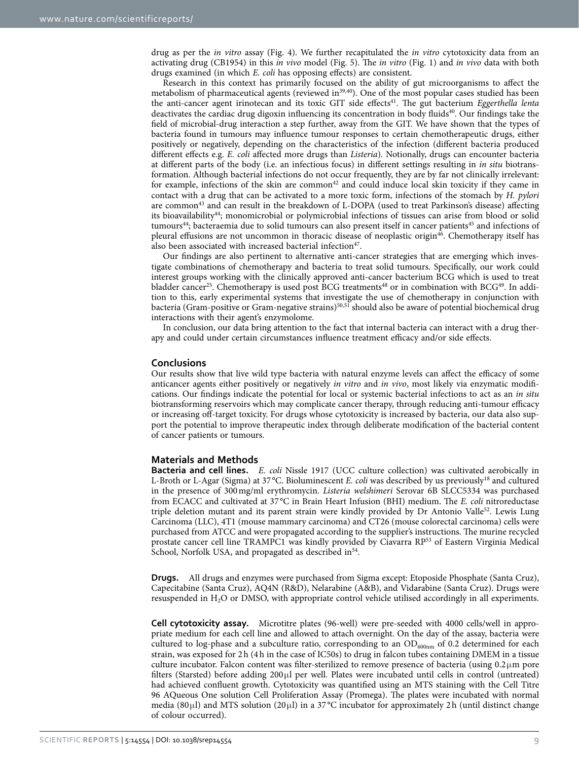drug as per the *in vitro* assay [\(Fig. 4](#page-8-0)). We further recapitulated the *in vitro* cytotoxicity data from an activating drug (CB1954) in this *in vivo* model ([Fig. 5\)](#page-9-0). The *in vitro* [\(Fig. 1\)](#page-4-0) and *in vivo* data with both drugs examined (in which *E. coli* has opposing effects) are consistent.

Research in this context has primarily focused on the ability of gut microorganisms to affect the metabolism of pharmaceutical agents (reviewed in $39,40$  $39,40$ ). One of the most popular cases studied has been the anti-cancer agent irinotecan and its toxic GIT side effects[41.](#page-13-3) The gut bacterium *Eggerthella lenta* deactivates the cardiac drug digoxin influencing its concentration in body fluids<sup>40</sup>. Our findings take the field of microbial-drug interaction a step further, away from the GIT. We have shown that the types of bacteria found in tumours may influence tumour responses to certain chemotherapeutic drugs, either positively or negatively, depending on the characteristics of the infection (different bacteria produced different effects e.g. *E. coli* affected more drugs than *Listeria*). Notionally, drugs can encounter bacteria at different parts of the body (i.e. an infectious focus) in different settings resulting in *in situ* biotransformation. Although bacterial infections do not occur frequently, they are by far not clinically irrelevant: for example, infections of the skin are common<sup>42</sup> and could induce local skin toxicity if they came in contact with a drug that can be activated to a more toxic form, infections of the stomach by *H. pylori* are common<sup>43</sup> and can result in the breakdown of L-DOPA (used to treat Parkinson's disease) affecting its bioavailability[44;](#page-13-6) monomicrobial or polymicrobial infections of tissues can arise from blood or solid tumours<sup>44</sup>; bacteraemia due to solid tumours can also present itself in cancer patients<sup>45</sup> and infections of pleural effusions are not uncommon in thoracic disease of neoplastic origin[46.](#page-13-8) Chemotherapy itself has also been associated with increased bacterial infection<sup>47</sup>.

Our findings are also pertinent to alternative anti-cancer strategies that are emerging which investigate combinations of chemotherapy and bacteria to treat solid tumours. Specifically, our work could interest groups working with the clinically approved anti-cancer bacterium BCG which is used to treat bladder cancer<sup>25</sup>. Chemotherapy is used post BCG treatments<sup>48</sup> or in combination with BCG<sup>49</sup>. In addition to this, early experimental systems that investigate the use of chemotherapy in conjunction with bacteria (Gram-positive or Gram-negative strains)[50,](#page-13-12)[51](#page-13-13) should also be aware of potential biochemical drug interactions with their agent's enzymolome.

In conclusion, our data bring attention to the fact that internal bacteria can interact with a drug therapy and could under certain circumstances influence treatment efficacy and/or side effects.

#### **Conclusions**

Our results show that live wild type bacteria with natural enzyme levels can affect the efficacy of some anticancer agents either positively or negatively *in vitro* and *in vivo*, most likely via enzymatic modifications. Our findings indicate the potential for local or systemic bacterial infections to act as an *in situ* biotransforming reservoirs which may complicate cancer therapy, through reducing anti-tumour efficacy or increasing off-target toxicity. For drugs whose cytotoxicity is increased by bacteria, our data also support the potential to improve therapeutic index through deliberate modification of the bacterial content of cancer patients or tumours.

#### **Materials and Methods**

**Bacteria and cell lines.** *E. coli* Nissle 1917 (UCC culture collection) was cultivated aerobically in L-Broth or L-Agar (Sigma) at 37 °C. Bioluminescent *E. coli* was described by us previously<sup>18</sup> and cultured in the presence of 300mg/ml erythromycin. *Listeria welshimeri* Serovar 6B SLCC5334 was purchased from ECACC and cultivated at 37 °C in Brain Heart Infusion (BHI) medium. The *E. coli* nitroreductase triple deletion mutant and its parent strain were kindly provided by Dr Antonio Valle<sup>52</sup>. Lewis Lung Carcinoma (LLC), 4T1 (mouse mammary carcinoma) and CT26 (mouse colorectal carcinoma) cells were purchased from ATCC and were propagated according to the supplier's instructions. The murine recycled prostate cancer cell line TRAMPC1 was kindly provided by Ciavarra R[P53](#page-13-15) of Eastern Virginia Medical School, Norfolk USA, and propagated as described in<sup>54</sup>.

**Drugs.** All drugs and enzymes were purchased from Sigma except: Etoposide Phosphate (Santa Cruz), Capecitabine (Santa Cruz), AQ4N (R&D), Nelarabine (A&B), and Vidarabine (Santa Cruz). Drugs were resuspended in H2O or DMSO, with appropriate control vehicle utilised accordingly in all experiments.

**Cell cytotoxicity assay.** Microtitre plates (96-well) were pre-seeded with 4000 cells/well in appropriate medium for each cell line and allowed to attach overnight. On the day of the assay, bacteria were cultured to log-phase and a subculture ratio, corresponding to an  $OD_{600nm}$  of 0.2 determined for each strain, was exposed for 2h (4h in the case of IC50s) to drug in falcon tubes containing DMEM in a tissue culture incubator. Falcon content was filter-sterilized to remove presence of bacteria (using 0.2μm pore filters (Starsted) before adding 200μl per well. Plates were incubated until cells in control (untreated) had achieved confluent growth. Cytotoxicity was quantified using an MTS staining with the Cell Titre 96 AQueous One solution Cell Proliferation Assay (Promega). The plates were incubated with normal media (80μl) and MTS solution (20μl) in a 37 °C incubator for approximately 2h (until distinct change of colour occurred).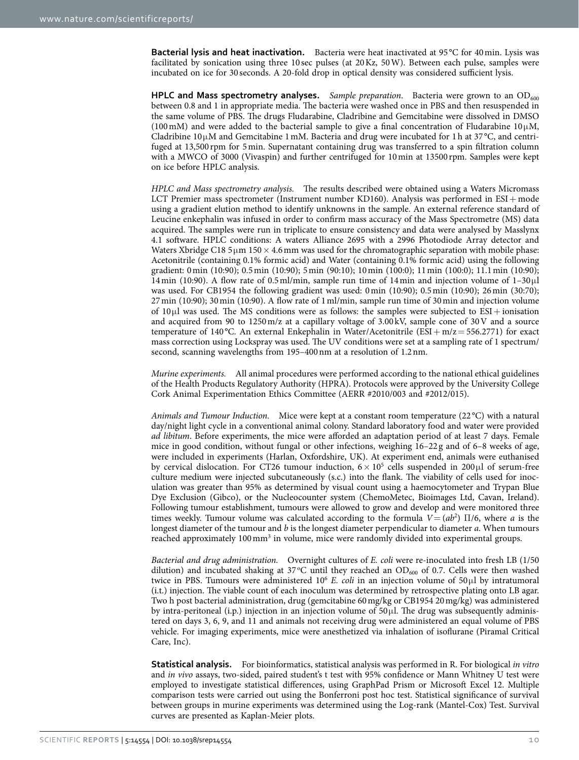**Bacterial lysis and heat inactivation.** Bacteria were heat inactivated at 95 °C for 40min. Lysis was facilitated by sonication using three 10 sec pulses (at 20Kz, 50W). Between each pulse, samples were incubated on ice for 30 seconds. A 20-fold drop in optical density was considered sufficient lysis.

**HPLC and Mass spectrometry analyses.** *Sample preparation*. Bacteria were grown to an OD<sub>600</sub> between 0.8 and 1 in appropriate media. The bacteria were washed once in PBS and then resuspended in the same volume of PBS. The drugs Fludarabine, Cladribine and Gemcitabine were dissolved in DMSO (100 mM) and were added to the bacterial sample to give a final concentration of Fludarabine 10 $\mu$ M, Cladribine  $10\mu$ M and Gemcitabine 1 mM. Bacteria and drug were incubated for 1 h at 37 °C, and centrifuged at 13,500 rpm for 5min. Supernatant containing drug was transferred to a spin filtration column with a MWCO of 3000 (Vivaspin) and further centrifuged for 10min at 13500 rpm. Samples were kept on ice before HPLC analysis.

*HPLC and Mass spectrometry analysis.* The results described were obtained using a Waters Micromass LCT Premier mass spectrometer (Instrument number KD160). Analysis was performed in  $ESI + mode$ using a gradient elution method to identify unknowns in the sample. An external reference standard of Leucine enkephalin was infused in order to confirm mass accuracy of the Mass Spectrometre (MS) data acquired. The samples were run in triplicate to ensure consistency and data were analysed by Masslynx 4.1 software. HPLC conditions: A waters Alliance 2695 with a 2996 Photodiode Array detector and Waters Xbridge C18 5 $\mu$ m 150  $\times$  4.6 mm was used for the chromatographic separation with mobile phase: Acetonitrile (containing 0.1% formic acid) and Water (containing 0.1% formic acid) using the following gradient: 0min (10:90); 0.5min (10:90); 5min (90:10); 10min (100:0); 11min (100:0); 11.1min (10:90); 14 min (10:90). A flow rate of 0.5 ml/min, sample run time of 14 min and injection volume of  $1-30\mu$ was used. For CB1954 the following gradient was used: 0min (10:90); 0.5min (10:90); 26min (30:70); 27min (10:90); 30min (10:90). A flow rate of 1ml/min, sample run time of 30min and injection volume of  $10 \mu$ l was used. The MS conditions were as follows: the samples were subjected to  $ESI + ionisation$ and acquired from 90 to 1250m/z at a capillary voltage of 3.00 kV, sample cone of 30V and a source temperature of 140 °C. An external Enkephalin in Water/Acetonitrile (ESI + m/z = 556.2771) for exact mass correction using Lockspray was used. The UV conditions were set at a sampling rate of 1 spectrum/ second, scanning wavelengths from 195–400nm at a resolution of 1.2nm.

*Murine experiments.* All animal procedures were performed according to the national ethical guidelines of the Health Products Regulatory Authority (HPRA). Protocols were approved by the University College Cork Animal Experimentation Ethics Committee (AERR #2010/003 and #2012/015).

*Animals and Tumour Induction.* Mice were kept at a constant room temperature (22 °C) with a natural day/night light cycle in a conventional animal colony. Standard laboratory food and water were provided *ad libitum*. Before experiments, the mice were afforded an adaptation period of at least 7 days. Female mice in good condition, without fungal or other infections, weighing 16–22 g and of 6–8 weeks of age, were included in experiments (Harlan, Oxfordshire, UK). At experiment end, animals were euthanised by cervical dislocation. For CT26 tumour induction,  $6 \times 10^5$  cells suspended in 200 $\mu$ l of serum-free culture medium were injected subcutaneously (s.c.) into the flank. The viability of cells used for inoculation was greater than 95% as determined by visual count using a haemocytometer and Trypan Blue Dye Exclusion (Gibco), or the Nucleocounter system (ChemoMetec, Bioimages Ltd, Cavan, Ireland). Following tumour establishment, tumours were allowed to grow and develop and were monitored three times weekly. Tumour volume was calculated according to the formula  $V = (ab^2) \prod/6$ , where *a* is the longest diameter of the tumour and *b* is the longest diameter perpendicular to diameter *a*. When tumours reached approximately 100 mm<sup>3</sup> in volume, mice were randomly divided into experimental groups.

*Bacterial and drug administration.* Overnight cultures of *E. coli* were re-inoculated into fresh LB (1/50 dilution) and incubated shaking at 37°C until they reached an  $OD_{600}$  of 0.7. Cells were then washed twice in PBS. Tumours were administered 106 *E. coli* in an injection volume of 50μl by intratumoral (i.t.) injection. The viable count of each inoculum was determined by retrospective plating onto LB agar. Two h post bacterial administration, drug (gemcitabine 60mg/kg or CB1954 20mg/kg) was administered by intra-peritoneal (i.p.) injection in an injection volume of  $50\mu$ . The drug was subsequently administered on days 3, 6, 9, and 11 and animals not receiving drug were administered an equal volume of PBS vehicle. For imaging experiments, mice were anesthetized via inhalation of isoflurane (Piramal Critical Care, Inc).

**Statistical analysis.** For bioinformatics, statistical analysis was performed in R. For biological *in vitro* and *in vivo* assays, two-sided, paired student's t test with 95% confidence or Mann Whitney U test were employed to investigate statistical differences, using GraphPad Prism or Microsoft Excel 12. Multiple comparison tests were carried out using the Bonferroni post hoc test. Statistical significance of survival between groups in murine experiments was determined using the Log-rank (Mantel-Cox) Test. Survival curves are presented as Kaplan-Meier plots.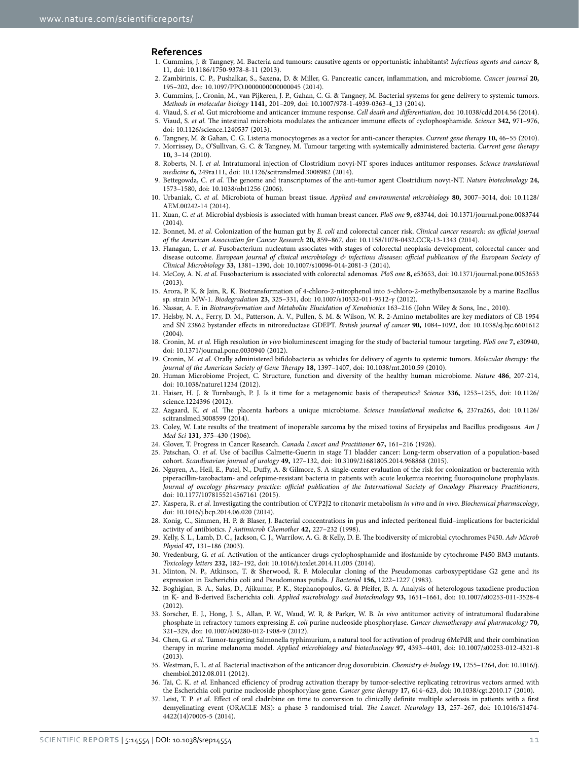#### **References**

- <span id="page-12-0"></span>1. Cummins, J. & Tangney, M. Bacteria and tumours: causative agents or opportunistic inhabitants? *Infectious agents and cancer* **8,** 11, doi: 10.1186/1750-9378-8-11 (2013).
- <span id="page-12-1"></span>2. Zambirinis, C. P., Pushalkar, S., Saxena, D. & Miller, G. Pancreatic cancer, inflammation, and microbiome. *Cancer journal* **20,** 195–202, doi: 10.1097/PPO.0000000000000045 (2014).
- <span id="page-12-2"></span>3. Cummins, J., Cronin, M., van Pijkeren, J. P., Gahan, C. G. & Tangney, M. Bacterial systems for gene delivery to systemic tumors. *Methods in molecular biology* **1141,** 201–209, doi: 10.1007/978-1-4939-0363-4\_13 (2014).
- <span id="page-12-4"></span><span id="page-12-3"></span>4. Viaud, S. *et al.* Gut microbiome and anticancer immune response. *Cell death and differentiation*, doi: 10.1038/cdd.2014.56 (2014).
- 5. Viaud, S. *et al.* The intestinal microbiota modulates the anticancer immune effects of cyclophosphamide. *Science* **342,** 971–976, doi: 10.1126/science.1240537 (2013).
- <span id="page-12-5"></span>6. Tangney, M. & Gahan, C. G. Listeria monocytogenes as a vector for anti-cancer therapies. *Current gene therapy* **10,** 46–55 (2010).
- 7. Morrissey, D., O'Sullivan, G. C. & Tangney, M. Tumour targeting with systemically administered bacteria. *Current gene therapy* **10,** 3–14 (2010).
- 8. Roberts, N. J. *et al.* Intratumoral injection of Clostridium novyi-NT spores induces antitumor responses. *Science translational medicine* **6,** 249ra111, doi: 10.1126/scitranslmed.3008982 (2014).
- 9. Bettegowda, C. *et al.* The genome and transcriptomes of the anti-tumor agent Clostridium novyi-NT. *Nature biotechnology* **24,** 1573–1580, doi: 10.1038/nbt1256 (2006).
- <span id="page-12-6"></span>10. Urbaniak, C. *et al.* Microbiota of human breast tissue. *Applied and environmental microbiology* **80,** 3007–3014, doi: 10.1128/ AEM.00242-14 (2014).
- <span id="page-12-7"></span>11. Xuan, C. *et al.* Microbial dysbiosis is associated with human breast cancer. *PloS one* **9,** e83744, doi: 10.1371/journal.pone.0083744 (2014).
- <span id="page-12-8"></span>12. Bonnet, M. *et al.* Colonization of the human gut by *E. coli* and colorectal cancer risk. *Clinical cancer research: an official journal of the American Association for Cancer Research* **20,** 859–867, doi: 10.1158/1078-0432.CCR-13-1343 (2014).
- 13. Flanagan, L. *et al.* Fusobacterium nucleatum associates with stages of colorectal neoplasia development, colorectal cancer and disease outcome. *European journal of clinical microbiology & infectious diseases: official publication of the European Society of Clinical Microbiology* **33,** 1381–1390, doi: 10.1007/s10096-014-2081-3 (2014).
- 14. McCoy, A. N. *et al.* Fusobacterium is associated with colorectal adenomas. *PloS one* **8,** e53653, doi: 10.1371/journal.pone.0053653 (2013).
- <span id="page-12-9"></span>15. Arora, P. K. & Jain, R. K. Biotransformation of 4-chloro-2-nitrophenol into 5-chloro-2-methylbenzoxazole by a marine Bacillus sp. strain MW-1. *Biodegradation* **23,** 325–331, doi: 10.1007/s10532-011-9512-y (2012).
- <span id="page-12-10"></span>16. Nassar, A. F. in *Biotransformation and Metabolite Elucidation of Xenobiotics* 163–216 (John Wiley & Sons, Inc., 2010).
- <span id="page-12-11"></span>17. Helsby, N. A., Ferry, D. M., Patterson, A. V., Pullen, S. M. & Wilson, W. R. 2-Amino metabolites are key mediators of CB 1954 and SN 23862 bystander effects in nitroreductase GDEPT. *British journal of cancer* **90,** 1084–1092, doi: 10.1038/sj.bjc.6601612  $(2004)$
- <span id="page-12-12"></span>18. Cronin, M. *et al.* High resolution *in vivo* bioluminescent imaging for the study of bacterial tumour targeting. *PloS one* **7,** e30940, doi: 10.1371/journal.pone.0030940 (2012).
- <span id="page-12-13"></span>19. Cronin, M. *et al.* Orally administered bifidobacteria as vehicles for delivery of agents to systemic tumors. *Molecular therapy: the journal of the American Society of Gene Therapy* **18,** 1397–1407, doi: 10.1038/mt.2010.59 (2010).
- <span id="page-12-14"></span>20. Human Microbiome Project, C. Structure, function and diversity of the healthy human microbiome. *Nature* **486**, 207-214, doi: 10.1038/nature11234 (2012).
- <span id="page-12-15"></span>21. Haiser, H. J. & Turnbaugh, P. J. Is it time for a metagenomic basis of therapeutics? *Science* **336,** 1253–1255, doi: 10.1126/ science.1224396 (2012).
- <span id="page-12-16"></span>22. Aagaard, K. *et al.* The placenta harbors a unique microbiome. *Science translational medicine* **6,** 237ra265, doi: 10.1126/ scitranslmed.3008599 (2014).
- <span id="page-12-17"></span>23. Coley, W. Late results of the treatment of inoperable sarcoma by the mixed toxins of Erysipelas and Bacillus prodigosus. *Am J Med Sci* **131,** 375–430 (1906).
- <span id="page-12-18"></span>24. Glover, T. Progress in Cancer Research. *Canada Lancet and Practitioner* **67,** 161–216 (1926).
- <span id="page-12-19"></span>25. Patschan, O. *et al.* Use of bacillus Calmette-Guerin in stage T1 bladder cancer: Long-term observation of a population-based cohort. *Scandinavian journal of urology* **49,** 127–132, doi: 10.3109/21681805.2014.968868 (2015).
- <span id="page-12-20"></span>26. Nguyen, A., Heil, E., Patel, N., Duffy, A. & Gilmore, S. A single-center evaluation of the risk for colonization or bacteremia with piperacillin-tazobactam- and cefepime-resistant bacteria in patients with acute leukemia receiving fluoroquinolone prophylaxis. *Journal of oncology pharmacy practice: official publication of the International Society of Oncology Pharmacy Practitioners*, doi: 10.1177/1078155214567161 (2015).
- <span id="page-12-21"></span>27. Kaspera, R. *et al.* Investigating the contribution of CYP2J2 to ritonavir metabolism *in vitro* and *in vivo*. *Biochemical pharmacology*, doi: 10.1016/j.bcp.2014.06.020 (2014).
- <span id="page-12-22"></span>28. Konig, C., Simmen, H. P. & Blaser, J. Bacterial concentrations in pus and infected peritoneal fluid–implications for bactericidal activity of antibiotics. *J Antimicrob Chemother* **42,** 227–232 (1998).
- <span id="page-12-23"></span>29. Kelly, S. L., Lamb, D. C., Jackson, C. J., Warrilow, A. G. & Kelly, D. E. The biodiversity of microbial cytochromes P450. *Adv Microb Physiol* **47,** 131–186 (2003).
- <span id="page-12-24"></span>30. Vredenburg, G. *et al.* Activation of the anticancer drugs cyclophosphamide and ifosfamide by cytochrome P450 BM3 mutants. *Toxicology letters* **232,** 182–192, doi: 10.1016/j.toxlet.2014.11.005 (2014).
- <span id="page-12-25"></span>31. Minton, N. P., Atkinson, T. & Sherwood, R. F. Molecular cloning of the Pseudomonas carboxypeptidase G2 gene and its expression in Escherichia coli and Pseudomonas putida. *J Bacteriol* **156,** 1222–1227 (1983).
- <span id="page-12-26"></span>32. Boghigian, B. A., Salas, D., Ajikumar, P. K., Stephanopoulos, G. & Pfeifer, B. A. Analysis of heterologous taxadiene production in K- and B-derived Escherichia coli. *Applied microbiology and biotechnology* **93,** 1651–1661, doi: 10.1007/s00253-011-3528-4 (2012).
- <span id="page-12-27"></span>33. Sorscher, E. J., Hong, J. S., Allan, P. W., Waud, W. R. & Parker, W. B. *In vivo* antitumor activity of intratumoral fludarabine phosphate in refractory tumors expressing *E. coli* purine nucleoside phosphorylase. *Cancer chemotherapy and pharmacology* **70,** 321–329, doi: 10.1007/s00280-012-1908-9 (2012).
- <span id="page-12-28"></span>34. Chen, G. *et al.* Tumor-targeting Salmonella typhimurium, a natural tool for activation of prodrug 6MePdR and their combination therapy in murine melanoma model. *Applied microbiology and biotechnology* **97,** 4393–4401, doi: 10.1007/s00253-012-4321-8 (2013).
- <span id="page-12-29"></span>35. Westman, E. L. *et al.* Bacterial inactivation of the anticancer drug doxorubicin. *Chemistry & biology* **19,** 1255–1264, doi: 10.1016/j. chembiol.2012.08.011 (2012).
- <span id="page-12-30"></span>36. Tai, C. K. *et al.* Enhanced efficiency of prodrug activation therapy by tumor-selective replicating retrovirus vectors armed with the Escherichia coli purine nucleoside phosphorylase gene. *Cancer gene therapy* **17,** 614–623, doi: 10.1038/cgt.2010.17 (2010).
- <span id="page-12-31"></span>37. Leist, T. P. *et al.* Effect of oral cladribine on time to conversion to clinically definite multiple sclerosis in patients with a first demyelinating event (ORACLE MS): a phase 3 randomised trial. *The Lancet. Neurology* **13,** 257–267, doi: 10.1016/S1474- 4422(14)70005-5 (2014).